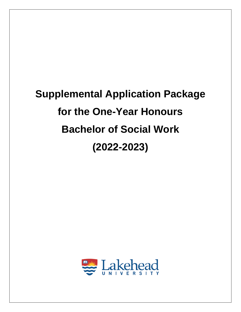# **Supplemental Application Package for the One-Year Honours Bachelor of Social Work (2022-2023)**

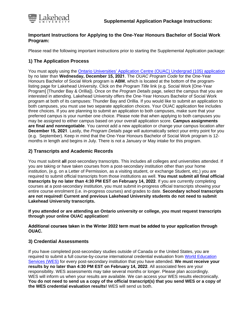

## **Important Instructions for Applying to the One-Year Honours Bachelor of Social Work Program:**

Please read the following important instructions prior to starting the Supplemental Application package:

# **1) The Application Process**

You must apply using the [Ontario Universities' Application Centre \(OUAC\)](https://www.ouac.on.ca/ouac-105/) Undergrad (105) application by no later than **Wednesday, December 15, 2021**. The *OUAC Program Code* for the One-Year Honours Bachelor of Social Work program is **ABM**, which is located at the bottom of the programlisting page for Lakehead University. Click on the *Program Title* link (e.g. Social Work [One-Year Program] [Thunder Bay & Orillia]). Once on the *Program Details* page, select the campus that you are interested in attending. Lakehead University offers the One-Year Honours Bachelor of Social Work program at both of its campuses: Thunder Bay and Orillia. If you would like to submit an application to both campuses, you must use two separate application choices. Your OUAC application fee includes three choices. If you are planning to submit an application to both campuses, make sure that your preferred campus is your number one choice. Please note that when applying to both campuses you may be assigned to either campus based on your overall application score. **Campus assignments are final and nonnegotiable**. You cannot add a new application or change your campus location after **December 15, 2021**. Lastly, the *Program Details* page will automatically select your entry point for you (e.g. September). Keep in mind that the One-Year Honours Bachelor of Social Work program is 12 months in length and begins in July. There is not a January or May intake for this program.

## **2) Transcripts and Academic Records**

You must submit **all** post-secondary transcripts. This includes all colleges and universities attended. If you are taking or have taken courses from a post-secondary institution other than your home institution, (e.g. on a Letter of Permission, as a visiting student, or exchange Student, etc.) you are required to submit official transcripts from those institutions as well. **You must submit all final official transcripts by no later than 4:30 PM EST on February 14, 2022**. If you are currently completing courses at a post-secondary institution, you must submit in-progress official transcripts showing your entire course enrolment (i.e. in-progress courses) and grades to date. **Secondary school transcripts are not required! Current and previous Lakehead University students do not need to submit Lakehead University transcripts.** 

**If you attended or are attending an Ontario university or college, you must request transcripts through your online OUAC application!**

**Additional courses taken in the Winter 2022 term must be added to your application through OUAC.**

#### **3) [Credential A](https://www.wes.org/ca/)ssessments**

If you have completed post-secondary studies outside of Canada or the United States, you are required to submit a full course-by-course international credential evaluation from World Education Services (WES) [for every post-secondary institution that you have attended.](https://www.wes.org) **We must receive your results by no later than 4:30 PM EST on February 14, 2022**. All associated fees are your responsibility. WES assessments may take several months or longer. Please plan accordingly. WES will inform us when your results are available. We can access your WES results electronically. **You do not need to send us a copy of the official transcript(s) that you send WES or a copy of the WES credential evaluation results!** WES will send us both.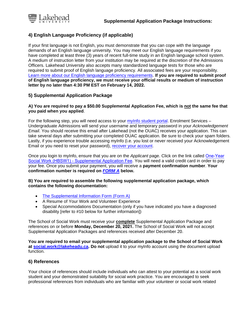

## **4) English Language Proficiency (if applicable)**

If your first language is not English, you must demonstrate that you can cope with the language demands of an English language university. You may meet our English language requirements if you have completed at least three (3) years of recent full-time study in an English language school system. A medium of instruction letter from your institution may be required at the discretion of the Admissions Officers. Lakehead University also accepts many standardized language tests for those who are required to submit proof of English language proficiency. All associated fees are your responsibility. [Learn more about our English language proficiency requirements.](https://www.lakeheadu.ca/studentcentral/applying/english-language-proficiency-requirements) **If you are required to submit proof of English language proficiency, we must receive your official results or medium of instruction letter by no later than 4:30 PM EST on February 14, 2022.** 

## **5) Supplemental Application Package**

#### **A) You are required to pay a \$50.00 Supplemental Application Fee, which is not the same fee thatyou paid when you applied**.

For the following step, you will need access to your [myInfo student portal.](https://myinfo.lakeheadu.ca/) Enrolment Services -Undergraduate Admissions will send your username and temporary password in your *Acknowledgement Email*. You should receive this email after Lakehead (not the OUAC) receives your application. This can take several days after submitting your completed OUAC application. Be sure to check your spam folders. Lastly, if you experience trouble accessing myInfo (i.e. you lost or never received your Acknowledgement Email or you need to reset your password), [recover your account.](https://erpwp.lakeheadu.ca/password/forgot) 

Once you login to myInfo, ensure that you are on the *Applicant* page. Click on the link called [One-Year](https://erpwp.lakeheadu.ca/home/applicant/?SUBR=XWHBSW)  [Social Work \(HBSW1\) - Supplemental Application Fee](https://erpwp.lakeheadu.ca/home/applicant/?SUBR=XWHBSW). You will need a valid credit card in order to pay your fee. Once you submit your payment, you will receive a **payment confirmation number**. **Your confirmation number is required on** *[FORM A](#page-8-0)* **below.**

#### **B) You are required to assemble the following supplemental application package, which contains the following documentation:**

- [The Supplemental Information Form \(Form A\)](#page-8-0)
- A Resume of Your Work and Volunteer Experience
- Special Accommodations Documentation (only if you have indicated you have a diagnosed disability [refer to #10 below for further information])

The School of Social Work must receive your **complete** Supplemental Application Package and references on or before **Monday, December 20, 2021.** The School of Social Work will not accept Supplemental Application Packages and references received after December 20.

**You are required to email your supplemental application package to the School of Social Work at [social.work@lakeheadu.ca.](mailto:social.work@lakeheadu.ca) Do not** upload it to your myInfo account using the document upload function.

#### **6) References**

Your choice of references should include individuals who can attest to your potential as a social work student and your demonstrated suitability for social work practice. You are encouraged to seek professional references from individuals who are familiar with your volunteer or social work related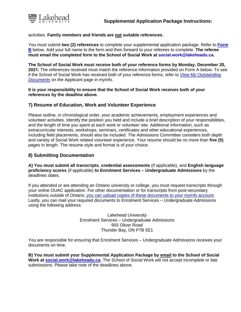

#### activities. **Family members and friends are not suitable references**.

You must submit **two (2) references** to complete your supplemental application package. Refer to **Form B** below. Add your full name to the form and then forward to your referees to complete. **The referee must email the completed form to the School of Social Work at [social.work@lakeheadu.ca.](mailto:social.work@lakeheadu.ca)** 

**The School of Social Work must receive both of your reference forms by Monday, December 20, 2021.** The references received must match the reference information provided on Form A below. To see if the School of Social Work has received both of your reference forms, refer to *[View My Outstanding](https://erpwp.lakeheadu.ca/home/applicant/?SUBR=WDOC)  [Documents](https://erpwp.lakeheadu.ca/home/applicant/?SUBR=WDOC)* on the Applicant page in myInfo.

#### **It is your responsibility to ensure that the School of Social Work receives both of your references by the deadline above.**

#### **7) Resume of Education, Work and Volunteer Experience**

Please outline, in chronological order, your academic achievements, employment experiences and volunteer activities. Identify the position you held and include a brief description of your responsibilities, and the length of time you spent at each work or volunteer site. Additional information, such as extracurricular interests, workshops, seminars, certificates and other educational experiences, including field placements, should also be included. The Admissions Committee considers both depth and variety of Social Work related volunteer experience. Your resume should be no more than **five (5)** pages in length. The resume style and format is of your choice.

#### **8) Submitting Documentation**

**A) You must submit all transcripts**, **credential assessments** (if applicable), and **English language proficiency scores** (if applicable) **to Enrolment Services – Undergraduate Admissions** by the deadlines dates.

If you attended or are attending an Ontario university or college, you must request transcripts through your online OUAC application. For other documentation or for transcripts from post-secondary institutions outside of Ontario, you can upload copies of these documents to your myInfo account. Lastly, you can mail your required documents to Enrolment Services – Undergraduate Admissions using the following address:

> Lakehead University Enrolment Services – Undergraduate Admissions 955 Oliver Road Thunder Bay, ON P7B 5E1

You are responsible for ensuring that Enrolment Services – Undergraduate Admissions receives your documents on time.

**B) You must submit your Supplemental Application Package by email to the School of Social Work at [social.work@lakeheadu.ca.](mailto:social.work@lakeheadu.ca)** The School of Social Work will not accept incomplete or late submissions. Please take note of the deadlines above.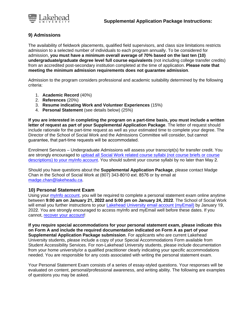

## **9) Admissions**

The availability of fieldwork placements, qualified field supervisors, and class size limitations restricts admission to a selected number of individuals to each program annually. To be considered for admission, **you must have a minimum overall average of 70% based on the last ten (10) undergraduate/graduate degree level full course equivalents** (not including college transfer credits) from an accredited post-secondary institution completed at the time of application. **Please note that meeting the minimum admission requirements does not guarantee admission**.

Admission to the program considers professional and academic suitability determined by the following criteria:

- 1. **Academic Record** (40%)
- 2. **References** (20%)
- 3. **Resume indicating Work and Volunteer Experiences** (15%)
- 4. **Personal Statement** (see details below) (25%)

**If you are interested in completing the program on a part-time basis, you must include a written letter of request as part of your Supplemental Application Package**. The letter of request should include rationale for the part-time request as well as your estimated time to complete your degree. The Director of the School of Social Work and the Admissions Committee will consider, but cannot guarantee, that part-time requests will be accommodated.

Enrolment Services – Undergraduate Admissions will assess your transcript(s) for transfer credit. You are strongly encouraged to [upload all Social Work related course syllabi](https://erpwp.lakeheadu.ca/home/applicant/?SUBR=XDOCUP) (not course briefs or course descriptions) [to your myInfo account.](https://erpwp.lakeheadu.ca/home/applicant/?SUBR=XDOCUP) You should submit your course syllabi by no later than May 2.

Should you have questions about the **Supplemental Application Package**, please contact Madge Chan in the School of Social Work at (807) 343-8010 ext. 8576 or by email at [madge.chan@lakeheadu.ca.](mailto:madge.chan@lakeheadu.ca)

#### **10) Personal Statement Exam**

Using your [myInfo account,](https://myinfo.lakeheadu.ca/) you will be required to complete a personal statement exam online anytime between **9:00 am on January 21, 2022 and 5:00 pm on January 24, 2022**. The School of Social Work will email you further instructions to your [Lakehead University email account \(myEmail\)](http://myemail.lakeheadu.ca/) by January 19, 2022. You are strongly encouraged to access myInfo and myEmail well before these dates. If you cannot[, recover your account!](https://erpwp.lakeheadu.ca/password/forgot)

**If you require special accommodations for your personal statement exam, please indicate this on Form A and include the required documentation indicated on Form A as part of your Supplemental Application Package submission**. For applicants who are current Lakehead University students, please include a copy of your Special Accommodations Form available from Student Accessibility Services. For non-Lakehead University students, please include documentation from your home university/or a qualified practitioner clearly indicating your specific accommodations needed. You are responsible for any costs associated with writing the personal statement exam.

Your Personal Statement Exam consists of a series of essay-styled questions. Your responses will be evaluated on content, personal/professional awareness, and writing ability. The following are examples of questions you may be asked.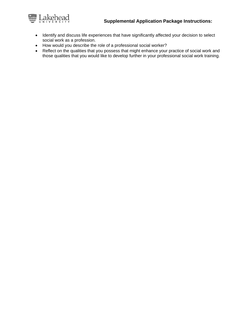## **Supplemental Application Package Instructions:**



- Identify and discuss life experiences that have significantly affected your decision to select social work as a profession.
- How would you describe the role of a professional social worker?
- Reflect on the qualities that you possess that might enhance your practice of social work and those qualities that you would like to develop further in your professional social work training.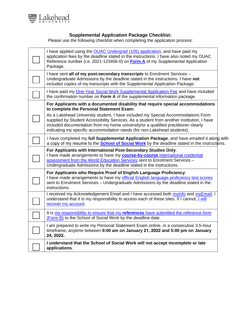

## **Supplemental Application Package Checklist:**

Please use the following checklist when completing the application process:

| I have applied using the <b>OUAC Undergrad (105) application</b> , and have paid my<br>application fees by the deadline stated in the instructions. I have also noted my OUAC<br>Reference number (i.e. 2021-123456-0) on <b>Form A</b> of my Supplemental Application<br>Package.                                                                                                                                                                                            |  |
|-------------------------------------------------------------------------------------------------------------------------------------------------------------------------------------------------------------------------------------------------------------------------------------------------------------------------------------------------------------------------------------------------------------------------------------------------------------------------------|--|
| I have sent all of my post-secondary transcripts to Enrolment Services -<br>Undergraduate Admissions by the deadline stated in the instructions. I have not<br>included copies of my transcripts with the Supplemental Application Package.                                                                                                                                                                                                                                   |  |
| I have paid my <b>One-Year Social Work Supplemental Application Fee</b> and have included<br>the confirmation number on Form A of the supplemental information package.                                                                                                                                                                                                                                                                                                       |  |
| For Applicants with a documented disability that require special accommodations<br>to complete the Personal Statement Exam:<br>As a Lakehead University student, I have included my Special Accommodations Form<br>supplied by Student Accessibility Services. As a student from another institution, I have<br>included documentation from my home university/or a qualified practitioner clearly<br>indicating my specific accommodation needs (for non-Lakehead students). |  |
| I have completed my full Supplemental Application Package, and have emailed it along with<br>a copy of my resume to the <b>School of Social Work</b> by the deadline stated in the instructions.                                                                                                                                                                                                                                                                              |  |
| For Applicants with International Post-Secondary Studies Only:<br>I have made arrangements to have my course-by-course international credential<br>assessment from the World Education Services sent to Enrolment Services -<br>Undergraduate Admissions by the deadline stated in the instructions.                                                                                                                                                                          |  |
| For Applicants who Require Proof of English Language Proficiency:<br>I have made arrangements to have my official English language proficiency test scores<br>sent to Enrolment Services - Undergraduate Admissions by the deadline stated in the<br>instructions.                                                                                                                                                                                                            |  |
| I received my Acknowledgement Email and I have accessed both mylnfo and myEmail. I<br>understand that it is my responsibility to access each of these sites. If I cannot, I will<br>recover my account.                                                                                                                                                                                                                                                                       |  |
| It is my responsibility to ensure that my references have submitted the reference form<br>(Form B) to the School of Social Work by the deadline date.                                                                                                                                                                                                                                                                                                                         |  |
| I am prepared to write my Personal Statement Exam online, in a consecutive 3.5-hour<br>timeframe, anytime between 9:00 am on January 21, 2022 and 5:00 pm on January<br>24, 2022.                                                                                                                                                                                                                                                                                             |  |
| I understand that the School of Social Work will not accept incomplete or late<br>applications.                                                                                                                                                                                                                                                                                                                                                                               |  |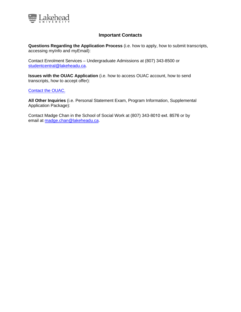

#### **Important Contacts**

**Questions Regarding the Application Process** (i.e. how to apply, how to submit transcripts, accessing myInfo and myEmail):

Contact Enrolment Services – Undergraduate Admissions at (807) 343-8500 or [studentcentral@lakeheadu.ca.](mailto:student.central@lakeheadu.ca) 

**Issues with the OUAC Application** (i.e. how to access OUAC account, how to send transcripts, how to accept offer):

#### [Contact the OUAC.](https://www.ouac.on.ca/contact/)

**All Other Inquiries** (i.e. Personal Statement Exam, Program Information, Supplemental Application Package):

Contact Madge Chan in the School of Social Work at (807) 343-8010 ext. 8576 or by email at [madge.chan@lakeh](mailto:madge.chan@lakeheadu.ca)eadu.ca.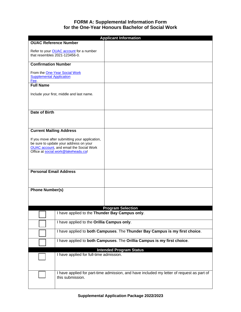## **FORM A: Supplemental Information Form for the One-Year Honours Bachelor of Social Work**

<span id="page-8-0"></span>

| <b>Applicant Information</b>                                                                                                                                                      |                                                                             |                                                                                           |  |
|-----------------------------------------------------------------------------------------------------------------------------------------------------------------------------------|-----------------------------------------------------------------------------|-------------------------------------------------------------------------------------------|--|
| <b>OUAC Reference Number</b>                                                                                                                                                      |                                                                             |                                                                                           |  |
| that resembles 2021-123456-0.                                                                                                                                                     | Refer to your <b>OUAC</b> account for a number                              |                                                                                           |  |
| <b>Confirmation Number</b>                                                                                                                                                        |                                                                             |                                                                                           |  |
| From the One-Year Social Work<br><b>Supplemental Application</b><br>Fee.                                                                                                          |                                                                             |                                                                                           |  |
| <b>Full Name</b>                                                                                                                                                                  |                                                                             |                                                                                           |  |
|                                                                                                                                                                                   | Include your first, middle and last name.                                   |                                                                                           |  |
| Date of Birth                                                                                                                                                                     |                                                                             |                                                                                           |  |
|                                                                                                                                                                                   |                                                                             |                                                                                           |  |
| <b>Current Mailing Address</b>                                                                                                                                                    |                                                                             |                                                                                           |  |
| If you move after submitting your application,<br>be sure to update your address on your<br><b>OUAC</b> account, and email the Social Work<br>Office at social.work@lakeheadu.ca! |                                                                             |                                                                                           |  |
| <b>Personal Email Address</b>                                                                                                                                                     |                                                                             |                                                                                           |  |
|                                                                                                                                                                                   |                                                                             |                                                                                           |  |
| <b>Phone Number(s)</b>                                                                                                                                                            |                                                                             |                                                                                           |  |
|                                                                                                                                                                                   |                                                                             |                                                                                           |  |
|                                                                                                                                                                                   |                                                                             |                                                                                           |  |
|                                                                                                                                                                                   |                                                                             | <b>Program Selection</b>                                                                  |  |
|                                                                                                                                                                                   | I have applied to the Thunder Bay Campus only.                              |                                                                                           |  |
|                                                                                                                                                                                   |                                                                             |                                                                                           |  |
|                                                                                                                                                                                   | I have applied to the Orillia Campus only.                                  |                                                                                           |  |
|                                                                                                                                                                                   | I have applied to both Campuses. The Thunder Bay Campus is my first choice. |                                                                                           |  |
|                                                                                                                                                                                   | I have applied to both Campuses. The Orillia Campus is my first choice.     |                                                                                           |  |
|                                                                                                                                                                                   |                                                                             | <b>Intended Program Status</b>                                                            |  |
|                                                                                                                                                                                   | I have applied for full-time admission.                                     |                                                                                           |  |
|                                                                                                                                                                                   | this submission.                                                            | I have applied for part-time admission, and have included my letter of request as part of |  |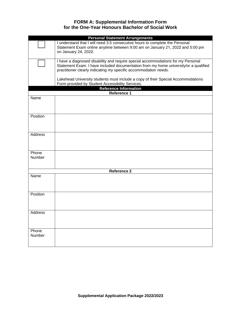## **FORM A: Supplemental Information Form for the One-Year Honours Bachelor of Social Work**

| <b>Personal Statement Arrangements</b> |                                                                                                                                                                                                                                              |  |  |  |
|----------------------------------------|----------------------------------------------------------------------------------------------------------------------------------------------------------------------------------------------------------------------------------------------|--|--|--|
|                                        | I understand that I will need 3.5 consecutive hours to complete the Personal<br>Statement Exam online anytime between 9:00 am on January 21, 2022 and 5:00 pm<br>on January 24, 2022.                                                        |  |  |  |
|                                        | I have a diagnosed disability and require special accommodations for my Personal<br>Statement Exam. I have included documentation from my home university/or a qualified<br>practitioner clearly indicating my specific accommodation needs. |  |  |  |
|                                        | Lakehead University students must include a copy of their Special Accommodations<br>Form provided by Student Accessibility Services.                                                                                                         |  |  |  |
|                                        | <b>Reference Information</b>                                                                                                                                                                                                                 |  |  |  |
|                                        | Reference 1                                                                                                                                                                                                                                  |  |  |  |
| Name                                   |                                                                                                                                                                                                                                              |  |  |  |
| Position                               |                                                                                                                                                                                                                                              |  |  |  |
| Address                                |                                                                                                                                                                                                                                              |  |  |  |
| Phone<br><b>Number</b>                 |                                                                                                                                                                                                                                              |  |  |  |
|                                        | <b>Reference 2</b>                                                                                                                                                                                                                           |  |  |  |
| Name                                   |                                                                                                                                                                                                                                              |  |  |  |
| Position                               |                                                                                                                                                                                                                                              |  |  |  |
| Address                                |                                                                                                                                                                                                                                              |  |  |  |
| Phone<br>Number                        |                                                                                                                                                                                                                                              |  |  |  |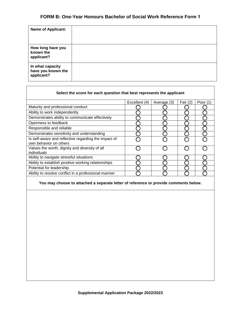## **FORM B: One-Year Honours Bachelor of Social Work Reference Form 1**

| <b>Name of Applicant:</b>                            |  |
|------------------------------------------------------|--|
| How long have you<br>known the<br>applicant?         |  |
| In what capacity<br>have you known the<br>applicant? |  |

| Select the score for each question that best represents the applicant          |               |             |            |            |  |
|--------------------------------------------------------------------------------|---------------|-------------|------------|------------|--|
|                                                                                | Excellent (4) | Average (3) | Fair $(2)$ | Poor $(1)$ |  |
| Maturity and professional conduct                                              |               |             |            |            |  |
| Ability to work independently                                                  |               |             |            |            |  |
| Demonstrates ability to communicate effectively                                |               |             |            |            |  |
| Openness to feedback                                                           |               |             |            |            |  |
| Responsible and reliable                                                       |               |             |            |            |  |
| Demonstrates sensitivity and understanding                                     |               |             |            |            |  |
| Is self-aware and reflective regarding the impact of<br>own behavior on others |               |             |            |            |  |
| Values the worth, dignity and diversity of all<br>individuals                  |               |             |            |            |  |
| Ability to navigate stressful situations                                       |               |             |            |            |  |
| Ability to establish positive working relationships                            |               |             |            |            |  |
| Potential for leadership                                                       |               |             |            |            |  |
| Ability to resolve conflict in a professional manner                           |               |             |            |            |  |

#### **You may choose to attached a separate letter of reference or provide comments below.**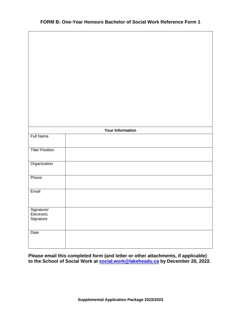|                          | <b>Your Information</b> |  |
|--------------------------|-------------------------|--|
| <b>Full Name</b>         |                         |  |
| <b>Title/ Position</b>   |                         |  |
|                          |                         |  |
| Organization             |                         |  |
| Phone                    |                         |  |
|                          |                         |  |
| Email                    |                         |  |
|                          |                         |  |
| Signature/<br>Electronic |                         |  |
| Signature                |                         |  |
|                          |                         |  |
| Date                     |                         |  |
|                          |                         |  |

**Please email this completed form (and letter or other attachments, if applicable) to the School of Social Work at [social.work@lakeheadu.ca](mailto:social.work@lakeheadu.ca) by December 20, 2022.**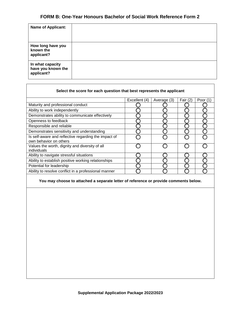## **FORM B: One-Year Honours Bachelor of Social Work Reference Form 2**

| <b>Name of Applicant:</b>                            |  |
|------------------------------------------------------|--|
| How long have you<br>known the<br>applicant?         |  |
| In what capacity<br>have you known the<br>applicant? |  |

┑

 $\Gamma$ 

| Select the score for each question that best represents the applicant          |               |             |            |          |  |
|--------------------------------------------------------------------------------|---------------|-------------|------------|----------|--|
|                                                                                | Excellent (4) | Average (3) | Fair $(2)$ | Poor (1) |  |
| Maturity and professional conduct                                              |               |             |            |          |  |
| Ability to work independently                                                  |               |             |            |          |  |
| Demonstrates ability to communicate effectively                                |               |             |            |          |  |
| Openness to feedback                                                           |               |             |            |          |  |
| Responsible and reliable                                                       |               |             |            |          |  |
| Demonstrates sensitivity and understanding                                     |               |             |            |          |  |
| Is self-aware and reflective regarding the impact of<br>own behavior on others |               |             |            |          |  |
| Values the worth, dignity and diversity of all<br>individuals                  |               |             |            |          |  |
| Ability to navigate stressful situations                                       |               |             |            |          |  |
| Ability to establish positive working relationships                            |               |             |            |          |  |
| Potential for leadership                                                       |               |             |            |          |  |
| Ability to resolve conflict in a professional manner                           |               |             |            |          |  |

#### **You may choose to attached a separate letter of reference or provide comments below.**